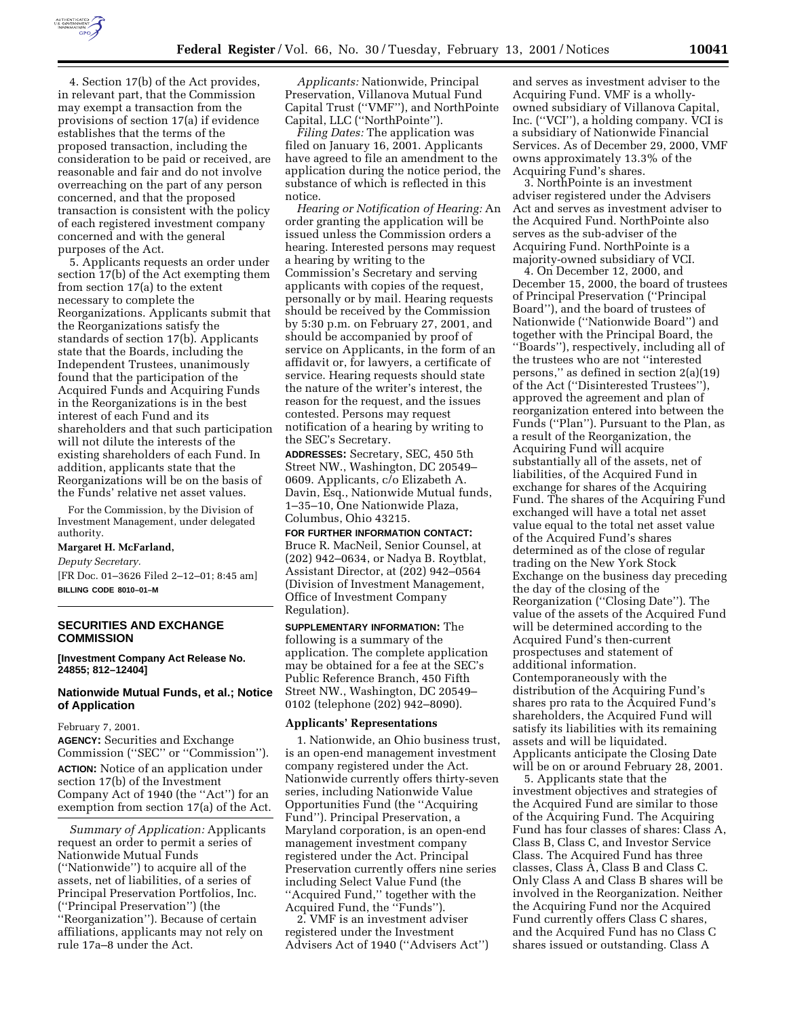

4. Section 17(b) of the Act provides, in relevant part, that the Commission may exempt a transaction from the provisions of section 17(a) if evidence establishes that the terms of the proposed transaction, including the consideration to be paid or received, are reasonable and fair and do not involve overreaching on the part of any person concerned, and that the proposed transaction is consistent with the policy of each registered investment company concerned and with the general purposes of the Act.

5. Applicants requests an order under section 17(b) of the Act exempting them from section 17(a) to the extent necessary to complete the Reorganizations. Applicants submit that the Reorganizations satisfy the standards of section 17(b). Applicants state that the Boards, including the Independent Trustees, unanimously found that the participation of the Acquired Funds and Acquiring Funds in the Reorganizations is in the best interest of each Fund and its shareholders and that such participation will not dilute the interests of the existing shareholders of each Fund. In addition, applicants state that the Reorganizations will be on the basis of the Funds' relative net asset values.

For the Commission, by the Division of Investment Management, under delegated authority.

#### **Margaret H. McFarland,**

*Deputy Secretary.*

[FR Doc. 01–3626 Filed 2–12–01; 8:45 am] **BILLING CODE 8010–01–M**

### **SECURITIES AND EXCHANGE COMMISSION**

**[Investment Company Act Release No. 24855; 812–12404]**

### **Nationwide Mutual Funds, et al.; Notice of Application**

### February 7, 2001.

**AGENCY:** Securities and Exchange Commission (''SEC'' or ''Commission''). **ACTION:** Notice of an application under section 17(b) of the Investment Company Act of 1940 (the ''Act'') for an exemption from section 17(a) of the Act.

*Summary of Application:* Applicants request an order to permit a series of Nationwide Mutual Funds (''Nationwide'') to acquire all of the assets, net of liabilities, of a series of Principal Preservation Portfolios, Inc. (''Principal Preservation'') (the ''Reorganization''). Because of certain affiliations, applicants may not rely on rule 17a–8 under the Act.

*Applicants:* Nationwide, Principal Preservation, Villanova Mutual Fund Capital Trust (''VMF''), and NorthPointe Capital, LLC (''NorthPointe'').

*Filing Dates:* The application was filed on January 16, 2001. Applicants have agreed to file an amendment to the application during the notice period, the substance of which is reflected in this notice.

*Hearing or Notification of Hearing:* An order granting the application will be issued unless the Commission orders a hearing. Interested persons may request a hearing by writing to the Commission's Secretary and serving applicants with copies of the request, personally or by mail. Hearing requests should be received by the Commission by 5:30 p.m. on February 27, 2001, and should be accompanied by proof of service on Applicants, in the form of an affidavit or, for lawyers, a certificate of service. Hearing requests should state the nature of the writer's interest, the reason for the request, and the issues contested. Persons may request notification of a hearing by writing to the SEC's Secretary.

**ADDRESSES:** Secretary, SEC, 450 5th Street NW., Washington, DC 20549– 0609. Applicants, c/o Elizabeth A. Davin, Esq., Nationwide Mutual funds, 1–35–10, One Nationwide Plaza, Columbus, Ohio 43215.

**FOR FURTHER INFORMATION CONTACT:** Bruce R. MacNeil, Senior Counsel, at (202) 942–0634, or Nadya B. Roytblat, Assistant Director, at (202) 942–0564 (Division of Investment Management, Office of Investment Company Regulation).

**SUPPLEMENTARY INFORMATION:** The following is a summary of the application. The complete application may be obtained for a fee at the SEC's Public Reference Branch, 450 Fifth Street NW., Washington, DC 20549– 0102 (telephone (202) 942–8090).

#### **Applicants' Representations**

1. Nationwide, an Ohio business trust, is an open-end management investment company registered under the Act. Nationwide currently offers thirty-seven series, including Nationwide Value Opportunities Fund (the ''Acquiring Fund''). Principal Preservation, a Maryland corporation, is an open-end management investment company registered under the Act. Principal Preservation currently offers nine series including Select Value Fund (the ''Acquired Fund,'' together with the Acquired Fund, the ''Funds'').

2. VMF is an investment adviser registered under the Investment Advisers Act of 1940 (''Advisers Act'') and serves as investment adviser to the Acquiring Fund. VMF is a whollyowned subsidiary of Villanova Capital, Inc. (''VCI''), a holding company. VCI is a subsidiary of Nationwide Financial Services. As of December 29, 2000, VMF owns approximately 13.3% of the Acquiring Fund's shares.

3. NorthPointe is an investment adviser registered under the Advisers Act and serves as investment adviser to the Acquired Fund. NorthPointe also serves as the sub-adviser of the Acquiring Fund. NorthPointe is a majority-owned subsidiary of VCI.

4. On December 12, 2000, and December 15, 2000, the board of trustees of Principal Preservation (''Principal Board''), and the board of trustees of Nationwide (''Nationwide Board'') and together with the Principal Board, the ''Boards''), respectively, including all of the trustees who are not ''interested persons,'' as defined in section 2(a)(19) of the Act (''Disinterested Trustees''), approved the agreement and plan of reorganization entered into between the Funds (''Plan''). Pursuant to the Plan, as a result of the Reorganization, the Acquiring Fund will acquire substantially all of the assets, net of liabilities, of the Acquired Fund in exchange for shares of the Acquiring Fund. The shares of the Acquiring Fund exchanged will have a total net asset value equal to the total net asset value of the Acquired Fund's shares determined as of the close of regular trading on the New York Stock Exchange on the business day preceding the day of the closing of the Reorganization (''Closing Date''). The value of the assets of the Acquired Fund will be determined according to the Acquired Fund's then-current prospectuses and statement of additional information. Contemporaneously with the distribution of the Acquiring Fund's shares pro rata to the Acquired Fund's shareholders, the Acquired Fund will satisfy its liabilities with its remaining assets and will be liquidated. Applicants anticipate the Closing Date will be on or around February 28, 2001.

5. Applicants state that the investment objectives and strategies of the Acquired Fund are similar to those of the Acquiring Fund. The Acquiring Fund has four classes of shares: Class A, Class B, Class C, and Investor Service Class. The Acquired Fund has three classes, Class A, Class B and Class C. Only Class A and Class B shares will be involved in the Reorganization. Neither the Acquiring Fund nor the Acquired Fund currently offers Class C shares, and the Acquired Fund has no Class C shares issued or outstanding. Class A